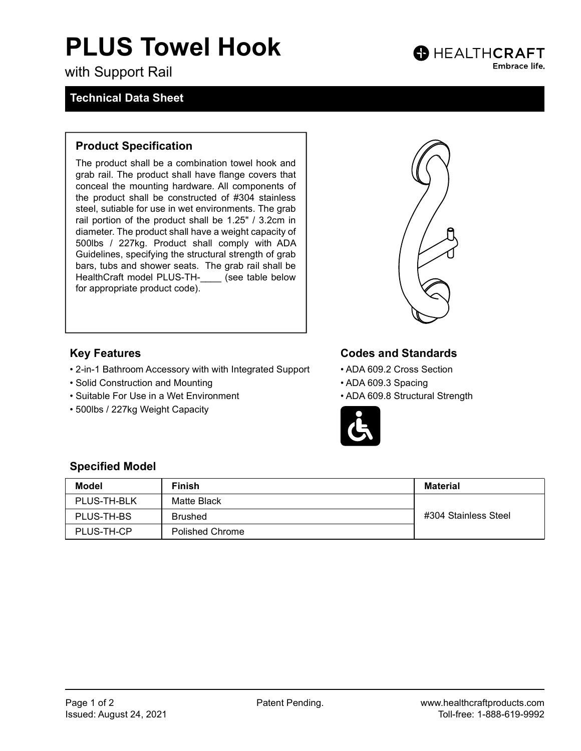# PLUS Towel Hook

with Support Rail

### Technical Data Sheet

### Product Specification

The product shall be a combination towel hook and grab rail. The product shall have flange covers that conceal the mounting hardware. All components of the product shall be constructed of #304 stainless steel, sutiable for use in wet environments. The grab rail portion of the product shall be 1.25" / 3.2cm in diameter. The product shall have a weight capacity of 500lbs / 227kg. Product shall comply with ADA Guidelines, specifying the structural strength of grab bars, tubs and shower seats. The grab rail shall be HealthCraft model PLUS-TH- (see table below for appropriate product code).



**B** HEALTHCRAFT

Embrace life.

### Key Features

- 2-in-1 Bathroom Accessory with with Integrated Support
- Solid Construction and Mounting
- Suitable For Use in a Wet Environment
- 500lbs / 227kg Weight Capacity

# Codes and Standards

- ADA 609.2 Cross Section
- ADA 609.3 Spacing
- ADA 609.8 Structural Strength



#### Specified Model

| Model       | <b>Finish</b>          | <b>Material</b>      |
|-------------|------------------------|----------------------|
| PLUS-TH-BLK | Matte Black            |                      |
| PLUS-TH-BS  | <b>Brushed</b>         | #304 Stainless Steel |
| PLUS-TH-CP  | <b>Polished Chrome</b> |                      |